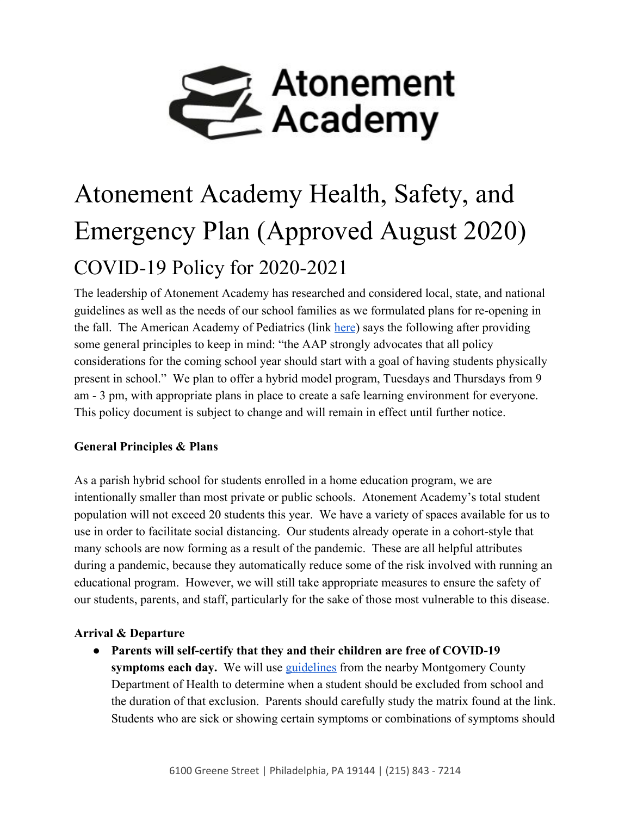

# Atonement Academy Health, Safety, and Emergency Plan (Approved August 2020) COVID-19 Policy for 2020-2021

The leadership of Atonement Academy has researched and considered local, state, and national guidelines as well as the needs of our school families as we formulated plans for re-opening in the fall. The American Academy of Pediatrics (link [here](https://services.aap.org/en/pages/2019-novel-coronavirus-covid-19-infections/clinical-guidance/covid-19-planning-considerations-return-to-in-person-education-in-schools/)) says the following after providing some general principles to keep in mind: "the AAP strongly advocates that all policy considerations for the coming school year should start with a goal of having students physically present in school." We plan to offer a hybrid model program, Tuesdays and Thursdays from 9 am - 3 pm, with appropriate plans in place to create a safe learning environment for everyone. This policy document is subject to change and will remain in effect until further notice.

#### **General Principles & Plans**

As a parish hybrid school for students enrolled in a home education program, we are intentionally smaller than most private or public schools. Atonement Academy's total student population will not exceed 20 students this year. We have a variety of spaces available for us to use in order to facilitate social distancing. Our students already operate in a cohort-style that many schools are now forming as a result of the pandemic. These are all helpful attributes during a pandemic, because they automatically reduce some of the risk involved with running an educational program. However, we will still take appropriate measures to ensure the safety of our students, parents, and staff, particularly for the sake of those most vulnerable to this disease.

#### **Arrival & Departure**

● **Parents will self-certify that they and their children are free of COVID-19 symptoms each day.** We will use [guidelines](https://www.montcopa.org/DocumentCenter/View/28389/Final-Version-COVID-19-School-Exclusion-Guide-002) from the nearby Montgomery County Department of Health to determine when a student should be excluded from school and the duration of that exclusion. Parents should carefully study the matrix found at the link. Students who are sick or showing certain symptoms or combinations of symptoms should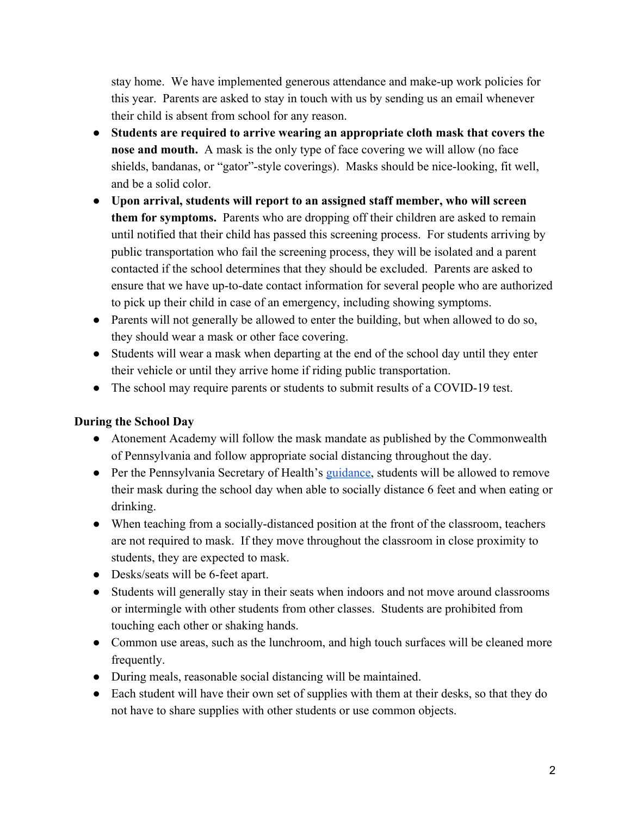stay home. We have implemented generous attendance and make-up work policies for this year. Parents are asked to stay in touch with us by sending us an email whenever their child is absent from school for any reason.

- **Students are required to arrive wearing an appropriate cloth mask that covers the nose and mouth.** A mask is the only type of face covering we will allow (no face shields, bandanas, or "gator"-style coverings). Masks should be nice-looking, fit well, and be a solid color.
- **Upon arrival, students will report to an assigned staff member, who will screen them for symptoms.** Parents who are dropping off their children are asked to remain until notified that their child has passed this screening process. For students arriving by public transportation who fail the screening process, they will be isolated and a parent contacted if the school determines that they should be excluded. Parents are asked to ensure that we have up-to-date contact information for several people who are authorized to pick up their child in case of an emergency, including showing symptoms.
- Parents will not generally be allowed to enter the building, but when allowed to do so, they should wear a mask or other face covering.
- Students will wear a mask when departing at the end of the school day until they enter their vehicle or until they arrive home if riding public transportation.
- The school may require parents or students to submit results of a COVID-19 test.

#### **During the School Day**

- Atonement Academy will follow the mask mandate as published by the Commonwealth of Pennsylvania and follow appropriate social distancing throughout the day.
- Per the Pennsylvania Secretary of Health's [guidance,](https://www.education.pa.gov/Schools/safeschools/emergencyplanning/COVID-19/Waivers/MaskWearing/Pages/default.aspx) students will be allowed to remove their mask during the school day when able to socially distance 6 feet and when eating or drinking.
- When teaching from a socially-distanced position at the front of the classroom, teachers are not required to mask. If they move throughout the classroom in close proximity to students, they are expected to mask.
- Desks/seats will be 6-feet apart.
- Students will generally stay in their seats when indoors and not move around classrooms or intermingle with other students from other classes. Students are prohibited from touching each other or shaking hands.
- Common use areas, such as the lunchroom, and high touch surfaces will be cleaned more frequently.
- During meals, reasonable social distancing will be maintained.
- Each student will have their own set of supplies with them at their desks, so that they do not have to share supplies with other students or use common objects.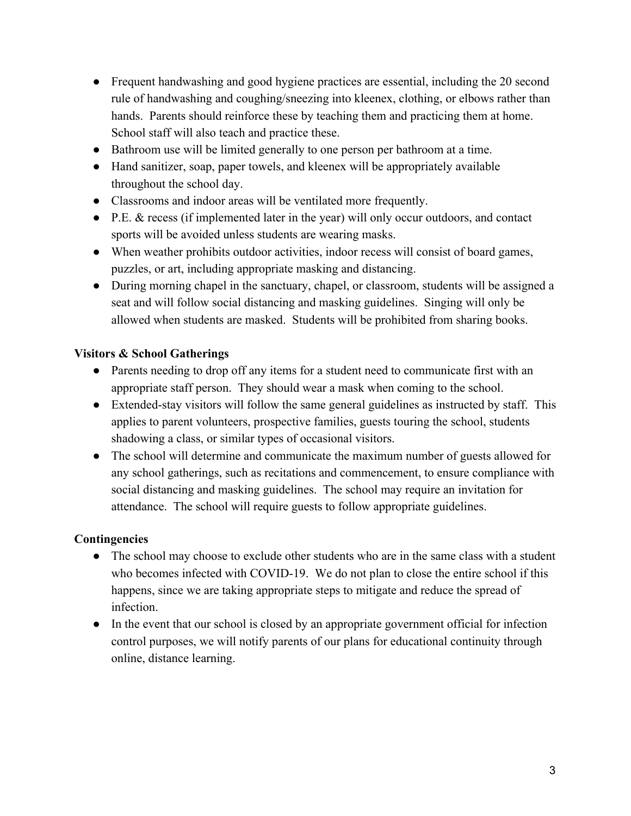- Frequent handwashing and good hygiene practices are essential, including the 20 second rule of handwashing and coughing/sneezing into kleenex, clothing, or elbows rather than hands. Parents should reinforce these by teaching them and practicing them at home. School staff will also teach and practice these.
- Bathroom use will be limited generally to one person per bathroom at a time.
- Hand sanitizer, soap, paper towels, and kleenex will be appropriately available throughout the school day.
- Classrooms and indoor areas will be ventilated more frequently.
- P.E. & recess (if implemented later in the year) will only occur outdoors, and contact sports will be avoided unless students are wearing masks.
- When weather prohibits outdoor activities, indoor recess will consist of board games, puzzles, or art, including appropriate masking and distancing.
- During morning chapel in the sanctuary, chapel, or classroom, students will be assigned a seat and will follow social distancing and masking guidelines. Singing will only be allowed when students are masked. Students will be prohibited from sharing books.

### **Visitors & School Gatherings**

- Parents needing to drop off any items for a student need to communicate first with an appropriate staff person. They should wear a mask when coming to the school.
- Extended-stay visitors will follow the same general guidelines as instructed by staff. This applies to parent volunteers, prospective families, guests touring the school, students shadowing a class, or similar types of occasional visitors.
- The school will determine and communicate the maximum number of guests allowed for any school gatherings, such as recitations and commencement, to ensure compliance with social distancing and masking guidelines. The school may require an invitation for attendance. The school will require guests to follow appropriate guidelines.

#### **Contingencies**

- The school may choose to exclude other students who are in the same class with a student who becomes infected with COVID-19. We do not plan to close the entire school if this happens, since we are taking appropriate steps to mitigate and reduce the spread of infection.
- In the event that our school is closed by an appropriate government official for infection control purposes, we will notify parents of our plans for educational continuity through online, distance learning.